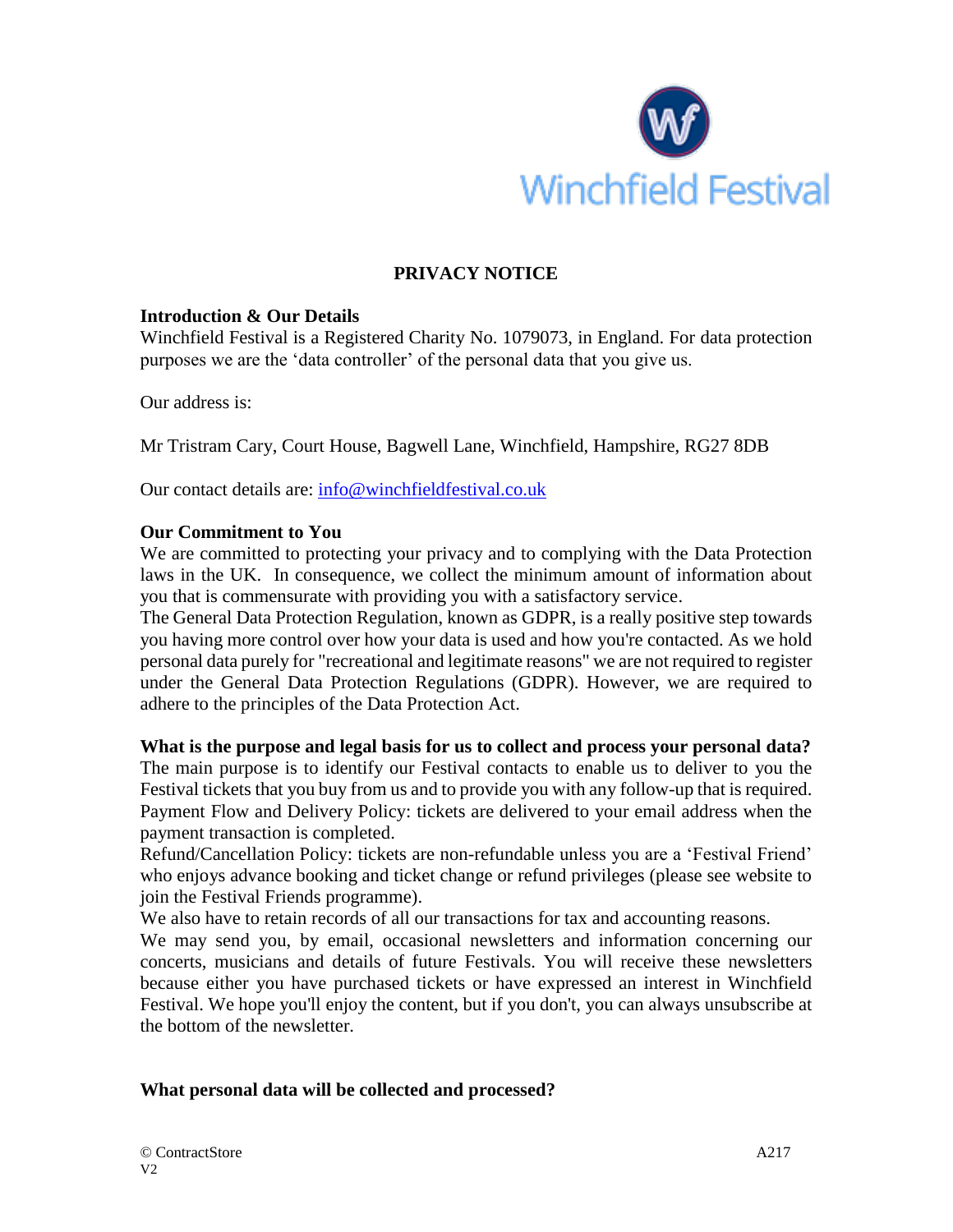

# **PRIVACY NOTICE**

# **Introduction & Our Details**

Winchfield Festival is a Registered Charity No. 1079073, in England. For data protection purposes we are the 'data controller' of the personal data that you give us.

Our address is:

Mr Tristram Cary, Court House, Bagwell Lane, Winchfield, Hampshire, RG27 8DB

Our contact details are: [info@winchfieldfestival.co.uk](mailto:info@winchfieldfestival.co.uk)

#### **Our Commitment to You**

We are committed to protecting your privacy and to complying with the Data Protection laws in the UK. In consequence, we collect the minimum amount of information about you that is commensurate with providing you with a satisfactory service.

The General Data Protection Regulation, known as GDPR, is a really positive step towards you having more control over how your data is used and how you're contacted. As we hold personal data purely for "recreational and legitimate reasons" we are not required to register under the General Data Protection Regulations (GDPR). However, we are required to adhere to the principles of the Data Protection Act.

**What is the purpose and legal basis for us to collect and process your personal data?**

The main purpose is to identify our Festival contacts to enable us to deliver to you the Festival tickets that you buy from us and to provide you with any follow-up that is required. Payment Flow and Delivery Policy: tickets are delivered to your email address when the payment transaction is completed.

Refund/Cancellation Policy: tickets are non-refundable unless you are a 'Festival Friend' who enjoys advance booking and ticket change or refund privileges (please see website to join the Festival Friends programme).

We also have to retain records of all our transactions for tax and accounting reasons.

We may send you, by email, occasional newsletters and information concerning our concerts, musicians and details of future Festivals. You will receive these newsletters because either you have purchased tickets or have expressed an interest in Winchfield Festival. We hope you'll enjoy the content, but if you don't, you can always unsubscribe at the bottom of the newsletter.

#### **What personal data will be collected and processed?**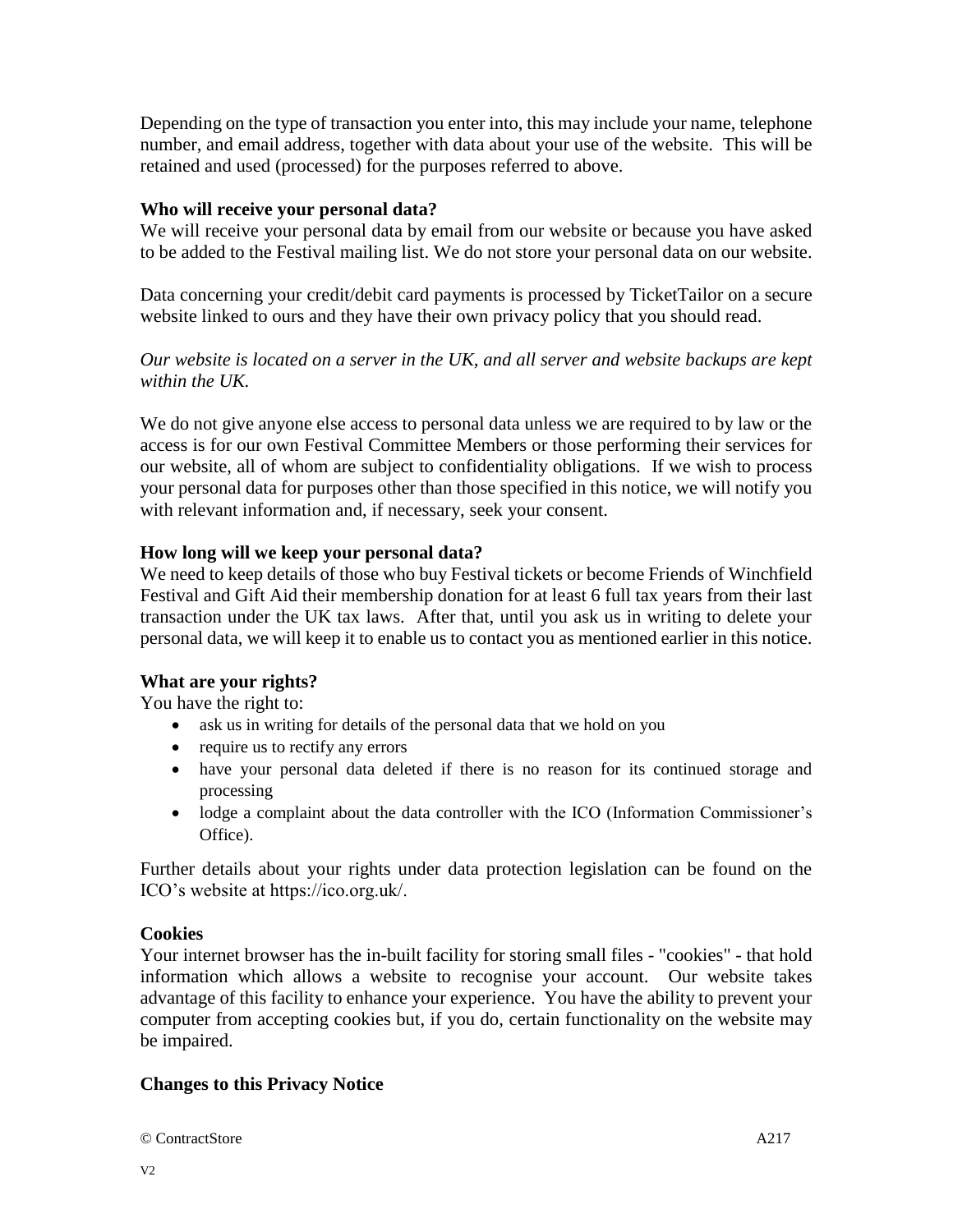Depending on the type of transaction you enter into, this may include your name, telephone number, and email address, together with data about your use of the website. This will be retained and used (processed) for the purposes referred to above.

### **Who will receive your personal data?**

We will receive your personal data by email from our website or because you have asked to be added to the Festival mailing list. We do not store your personal data on our website.

Data concerning your credit/debit card payments is processed by TicketTailor on a secure website linked to ours and they have their own privacy policy that you should read.

## *Our website is located on a server in the UK, and all server and website backups are kept within the UK.*

We do not give anyone else access to personal data unless we are required to by law or the access is for our own Festival Committee Members or those performing their services for our website, all of whom are subject to confidentiality obligations. If we wish to process your personal data for purposes other than those specified in this notice, we will notify you with relevant information and, if necessary, seek your consent.

### **How long will we keep your personal data?**

We need to keep details of those who buy Festival tickets or become Friends of Winchfield Festival and Gift Aid their membership donation for at least 6 full tax years from their last transaction under the UK tax laws. After that, until you ask us in writing to delete your personal data, we will keep it to enable us to contact you as mentioned earlier in this notice.

# **What are your rights?**

You have the right to:

- ask us in writing for details of the personal data that we hold on you
- require us to rectify any errors
- have your personal data deleted if there is no reason for its continued storage and processing
- lodge a complaint about the data controller with the ICO (Information Commissioner's Office).

Further details about your rights under data protection legislation can be found on the ICO's website at https://ico.org.uk/.

#### **Cookies**

Your internet browser has the in-built facility for storing small files - "cookies" - that hold information which allows a website to recognise your account. Our website takes advantage of this facility to enhance your experience. You have the ability to prevent your computer from accepting cookies but, if you do, certain functionality on the website may be impaired.

# **Changes to this Privacy Notice**

© ContractStore A217